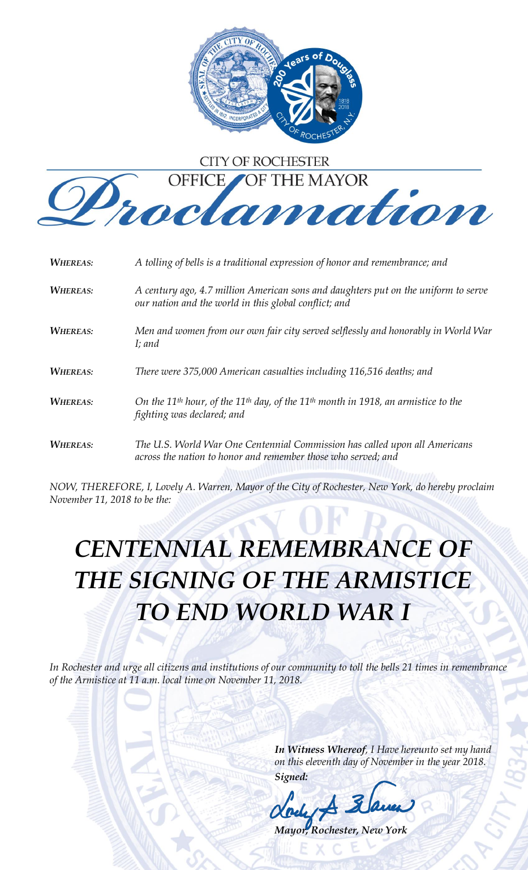

## **CITY OF ROCHESTER**



| <b>WHEREAS:</b> | A tolling of bells is a traditional expression of honor and remembrance; and                                                                        |
|-----------------|-----------------------------------------------------------------------------------------------------------------------------------------------------|
| <b>WHEREAS:</b> | A century ago, 4.7 million American sons and daughters put on the uniform to serve<br>our nation and the world in this global conflict; and         |
| <b>WHEREAS:</b> | Men and women from our own fair city served selflessly and honorably in World War<br>I; and                                                         |
| <b>WHEREAS:</b> | There were 375,000 American casualties including 116,516 deaths; and                                                                                |
| <b>WHEREAS:</b> | On the 11 <sup>th</sup> hour, of the 11 <sup>th</sup> day, of the 11 <sup>th</sup> month in 1918, an armistice to the<br>fighting was declared; and |
| <b>WHEREAS:</b> | The U.S. World War One Centennial Commission has called upon all Americans<br>across the nation to honor and remember those who served; and         |

*NOW, THEREFORE, I, Lovely A. Warren, Mayor of the City of Rochester, New York, do hereby proclaim November 11, 2018 to be the:*

## *CENTENNIAL REMEMBRANCE OF THE SIGNING OF THE ARMISTICE TO END WORLD WAR I*

*In Rochester and urge all citizens and institutions of our community to toll the bells 21 times in remembrance of the Armistice at 11 a.m. local time on November 11, 2018.*

> *In Witness Whereof, I Have hereunto set my hand on this eleventh day of November in the year 2018. Signed:*

*Mayor, Rochester, New York*